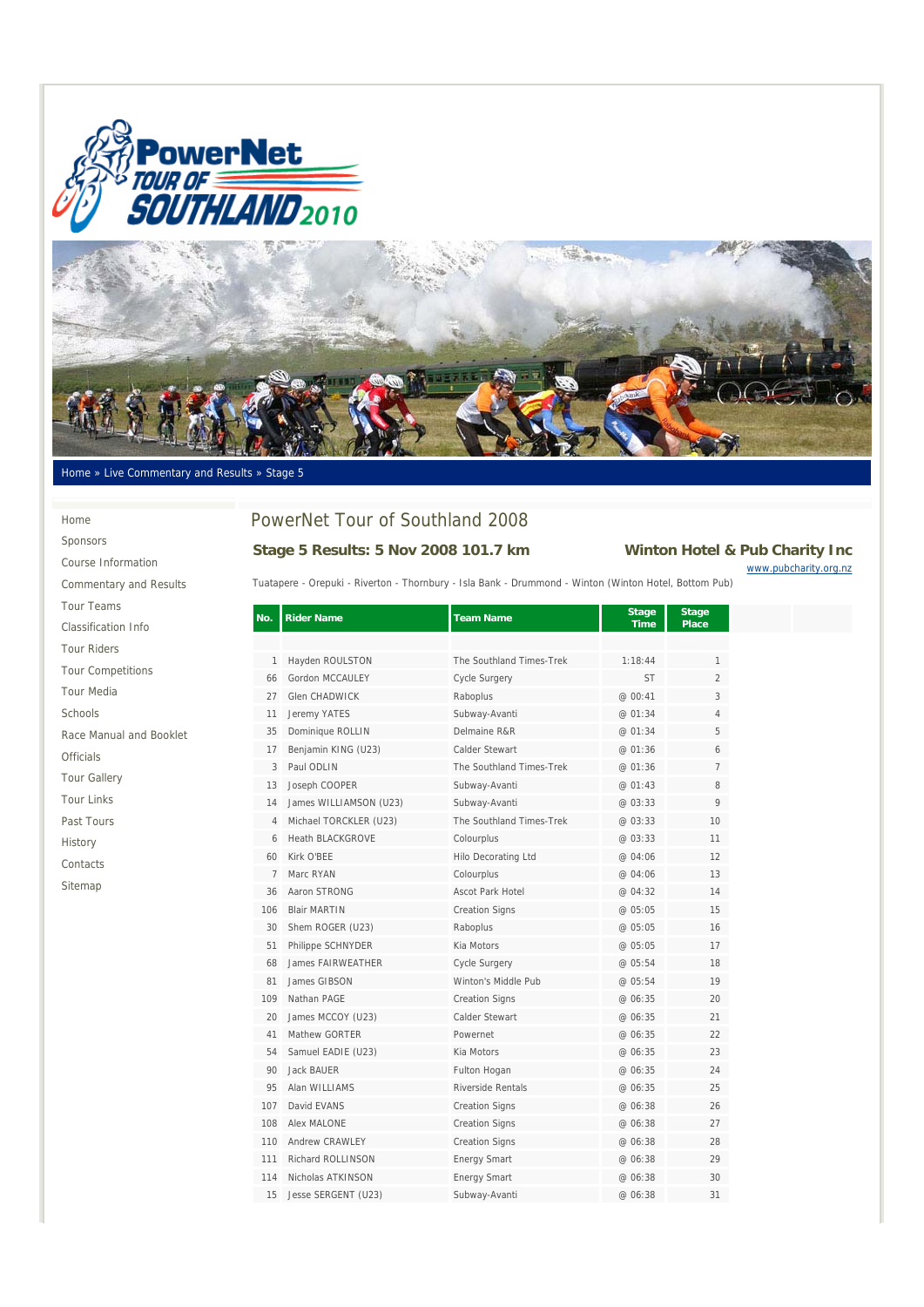



#### Home » Live Commentary and Results » Stage 5

Home Sponsors Course Information Commentary and Results Tour Teams Classification Info Tour Riders Tour Competitions Tour Media Schools Race Manual and Booklet Officials Tour Gallery Tour Links Past Tours History Contacts Sitemap

## PowerNet Tour of Southland 2008

### **Stage 5 Results: 5 Nov 2008 101.7 km Winton Hotel & Pub Charity Inc**

www.pubcharity.org.nz

Tuatapere - Orepuki - Riverton - Thornbury - Isla Bank - Drummond - Winton (Winton Hotel, Bottom Pub)

|                |                          |                            | <b>Time</b> | Place          |
|----------------|--------------------------|----------------------------|-------------|----------------|
|                |                          |                            |             |                |
| $\mathbf{1}$   | Hayden ROULSTON          | The Southland Times-Trek   | 1:18:44     | 1              |
| 66             | Gordon MCCAULEY          | Cycle Surgery              | <b>ST</b>   | $\overline{2}$ |
| 27             | <b>Glen CHADWICK</b>     | Raboplus                   | @ 00:41     | 3              |
| 11             | Jeremy YATES             | Subway-Avanti              | @ 01:34     | 4              |
| 35             | Dominique ROLLIN         | Delmaine R&R               | @ 01:34     | 5              |
| 17             | Benjamin KING (U23)      | Calder Stewart             | @ 01:36     | 6              |
| 3              | Paul ODLIN               | The Southland Times-Trek   | @ 01:36     | $\overline{7}$ |
| 13             | Joseph COOPER            | Subway-Avanti              | @ 01:43     | 8              |
| 14             | James WILLIAMSON (U23)   | Subway-Avanti              | @03:33      | 9              |
| 4              | Michael TORCKLER (U23)   | The Southland Times-Trek   | @ 03:33     | 10             |
| 6              | <b>Heath BLACKGROVE</b>  | Colourplus                 | @ 03:33     | 11             |
| 60             | Kirk O'BFF               | <b>Hilo Decorating Ltd</b> | @ 04:06     | 12             |
| $\overline{7}$ | Marc RYAN                | Colourplus                 | @ 04:06     | 13             |
| 36             | Aaron STRONG             | Ascot Park Hotel           | @04:32      | 14             |
| 106            | <b>Blair MARTIN</b>      | <b>Creation Signs</b>      | @ 05:05     | 15             |
| 30             | Shem ROGER (U23)         | Raboplus                   | @ 05:05     | 16             |
| 51             | Philippe SCHNYDER        | Kia Motors                 | @ 05:05     | 17             |
| 68             | <b>James FAIRWEATHER</b> | <b>Cycle Surgery</b>       | @ 05:54     | 18             |
| 81             | James GIBSON             | Winton's Middle Pub        | @ 05:54     | 19             |
| 109            | Nathan PAGE              | <b>Creation Signs</b>      | @ 06:35     | 20             |
| 20             | James MCCOY (U23)        | Calder Stewart             | @ 06:35     | 21             |
| 41             | Mathew GORTER            | Powernet                   | @ 06:35     | 22             |
| 54             | Samuel EADIE (U23)       | Kia Motors                 | @ 06:35     | 23             |
| 90             | Jack BAUER               | Fulton Hogan               | @ 06:35     | 24             |
| 95             | Alan WILLIAMS            | Riverside Rentals          | @ 06:35     | 25             |
| 107            | David EVANS              | <b>Creation Signs</b>      | @ 06:38     | 26             |
| 108            | <b>Alex MALONE</b>       | <b>Creation Signs</b>      | @ 06:38     | 27             |
| 110            | Andrew CRAWLEY           | <b>Creation Signs</b>      | @ 06:38     | 28             |
| 111            | Richard ROLLINSON        | <b>Energy Smart</b>        | @ 06:38     | 29             |
| 114            | Nicholas ATKINSON        | <b>Energy Smart</b>        | @ 06:38     | 30             |
| 15             | Jesse SERGENT (U23)      | Subway-Avanti              | @ 06:38     | 31             |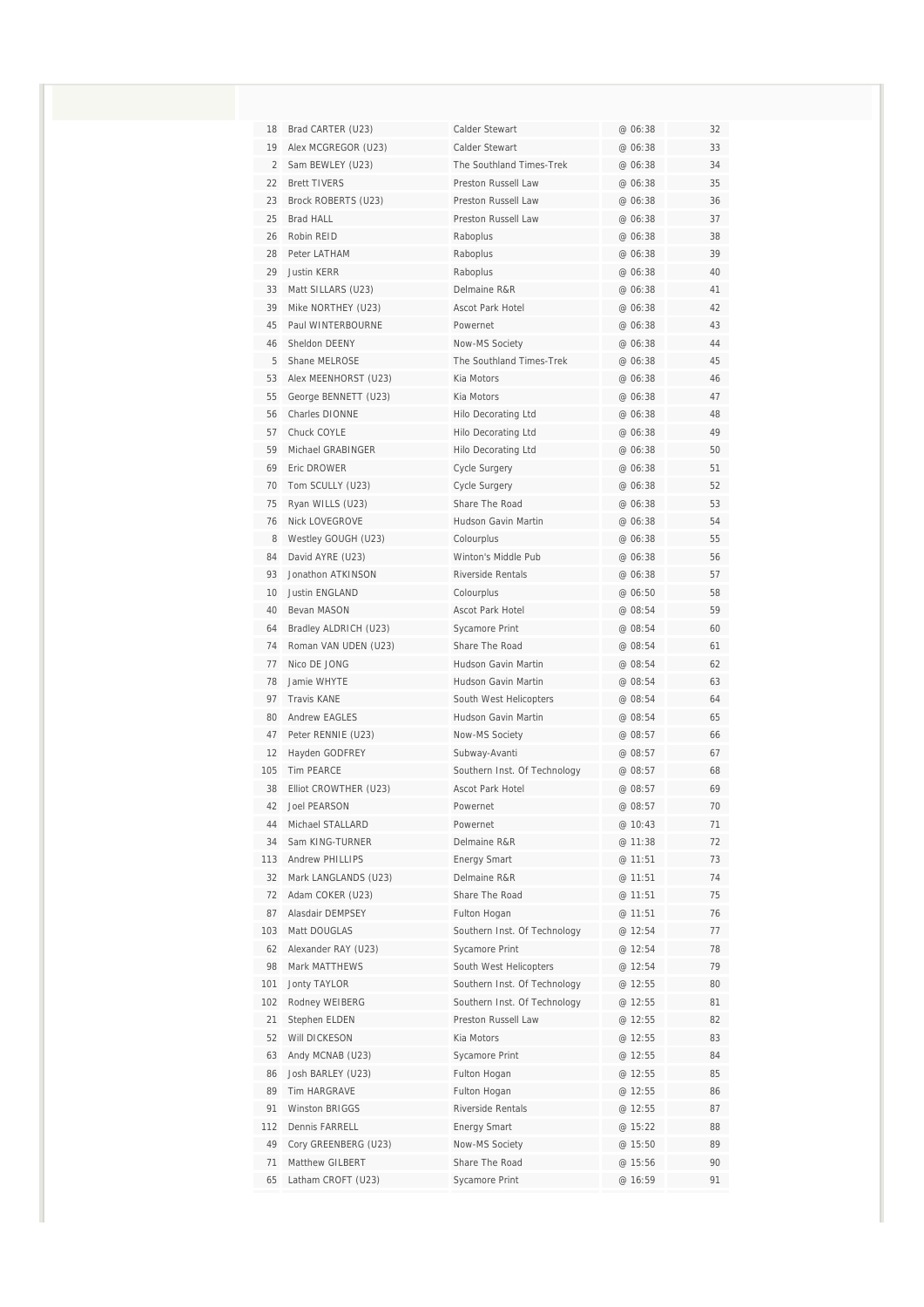| 18             | Brad CARTER (U23)                    | Calder Stewart                                        | @ 06:38            | 32       |
|----------------|--------------------------------------|-------------------------------------------------------|--------------------|----------|
| 19             | Alex MCGREGOR (U23)                  | Calder Stewart                                        | @ 06:38            | 33       |
| $\overline{2}$ | Sam BEWLEY (U23)                     | The Southland Times-Trek                              | @ 06:38            | 34       |
| 22             | <b>Brett TIVERS</b>                  | Preston Russell Law                                   | @ 06:38            | 35       |
| 23             | Brock ROBERTS (U23)                  | Preston Russell Law                                   | @ 06:38            | 36       |
| 25             | <b>Brad HALL</b>                     | Preston Russell Law                                   | @ 06:38            | 37       |
| 26             | Robin RFID                           | Raboplus                                              | @ 06:38            | 38       |
| 28             | Peter LATHAM                         | Raboplus                                              | @ 06:38            | 39       |
| 29             | <b>Justin KERR</b>                   | Raboplus                                              | @ 06:38            | 40       |
| 33             | Matt SILLARS (U23)                   | Delmaine R&R                                          | @ 06:38            | 41       |
| 39             | Mike NORTHEY (U23)                   | Ascot Park Hotel                                      | @ 06:38            | 42       |
| 45             | Paul WINTERBOURNE                    | Powernet                                              | @ 06:38            | 43       |
| 46             | Sheldon DEENY                        | Now-MS Society                                        | @ 06:38            | 44       |
| 5              | Shane MELROSE                        | The Southland Times-Trek                              | @ 06:38            | 45       |
| 53             | Alex MEENHORST (U23)                 | Kia Motors                                            | @ 06:38            | 46       |
| 55             | George BENNETT (U23)                 | Kia Motors                                            | @ 06:38            | 47       |
| 56             | Charles DIONNE                       | <b>Hilo Decorating Ltd</b>                            | @ 06:38            | 48       |
| 57             | Chuck COYLE                          | Hilo Decorating Ltd                                   | @ 06:38            | 49       |
| 59             | Michael GRABINGER                    | <b>Hilo Decorating Ltd</b>                            | @ 06:38            | 50       |
| 69             | Eric DROWER                          | Cycle Surgery                                         | @ 06:38            | 51       |
| 70             | Tom SCULLY (U23)                     | Cycle Surgery                                         | @ 06:38            | 52       |
| 75             | Ryan WILLS (U23)                     | Share The Road                                        | @ 06:38            | 53       |
| 76             | Nick LOVEGROVE                       | Hudson Gavin Martin                                   | @ 06:38            | 54       |
| 8              | Westley GOUGH (U23)                  | Colourplus                                            | @ 06:38            | 55       |
| 84             | David AYRE (U23)                     | Winton's Middle Pub                                   | @ 06:38            | 56       |
| 93             | Jonathon ATKINSON                    | Riverside Rentals                                     | @ 06:38            | 57       |
| 10             | <b>Justin ENGLAND</b>                | Colourplus                                            | @ 06:50            | 58       |
| 40             | Bevan MASON                          | Ascot Park Hotel                                      | @ 08:54            | 59       |
| 64             | Bradley ALDRICH (U23)                | Sycamore Print                                        | @ 08:54            | 60       |
| 74             | Roman VAN UDEN (U23)                 | Share The Road                                        | @ 08:54            | 61       |
| 77             | Nico DE JONG                         | Hudson Gavin Martin                                   | @ 08:54            | 62       |
| 78             | Jamie WHYTE                          | Hudson Gavin Martin                                   | @ 08:54            | 63       |
| 97             | <b>Travis KANE</b>                   | South West Helicopters                                | @ 08:54            | 64       |
| 80             | <b>Andrew EAGLES</b>                 | Hudson Gavin Martin                                   | @ 08:54            | 65       |
| 47             | Peter RENNIE (U23)                   | Now-MS Society                                        | @ 08:57            | 66       |
| 12             | Hayden GODFREY                       | Subway-Avanti                                         | @ 08:57            | 67       |
| 105            | Tim PEARCE                           | Southern Inst. Of Technology                          | @ 08:57            | 68       |
| 38             | Elliot CROWTHER (U23)                | <b>Ascot Park Hotel</b>                               | @ 08:57            | 69       |
| 42             | <b>Joel PEARSON</b>                  | Powernet                                              | @ 08:57            | 70       |
| 44             | Michael STALLARD                     | Powernet                                              | @ 10:43            | 71       |
| 34             | Sam KING-TURNER                      | Delmaine R&R                                          | @ 11:38            | 72       |
| 113            | <b>Andrew PHILLIPS</b>               | <b>Energy Smart</b>                                   | @ 11:51            | 73       |
| 32             | Mark LANGLANDS (U23)                 | Delmaine R&R                                          | @ 11:51            | 74       |
| 72             | Adam COKER (U23)<br>Alasdair DEMPSEY | Share The Road                                        | @ 11:51            | 75       |
| 87             | Matt DOUGLAS                         | Fulton Hogan                                          | @ 11:51<br>@ 12:54 | 76<br>77 |
| 103            |                                      | Southern Inst. Of Technology<br><b>Sycamore Print</b> |                    |          |
| 62<br>98       | Alexander RAY (U23)<br>Mark MATTHEWS | South West Helicopters                                | @ 12:54            | 78<br>79 |
| 101            | <b>Jonty TAYLOR</b>                  | Southern Inst. Of Technology                          | @ 12:54<br>@ 12:55 | 80       |
| 102            | Rodney WEIBERG                       | Southern Inst. Of Technology                          | @ 12:55            | 81       |
| 21             | Stephen ELDEN                        | Preston Russell Law                                   | @ 12:55            | 82       |
| 52             | Will DICKESON                        | Kia Motors                                            | @ 12:55            | 83       |
| 63             | Andy MCNAB (U23)                     | Sycamore Print                                        | @ 12:55            | 84       |
| 86             | Josh BARLEY (U23)                    | Fulton Hogan                                          | @ 12:55            | 85       |
| 89             | Tim HARGRAVE                         | Fulton Hogan                                          | @ 12:55            | 86       |
| 91             | Winston BRIGGS                       | Riverside Rentals                                     | @ 12:55            | 87       |
| 112            | Dennis FARRELL                       | <b>Energy Smart</b>                                   | @ 15:22            | 88       |
| 49             | Cory GREENBERG (U23)                 | Now-MS Society                                        | @ 15:50            | 89       |
| 71             | Matthew GILBERT                      | Share The Road                                        | @ 15:56            | 90       |
| 65             | Latham CROFT (U23)                   | Sycamore Print                                        | @ 16:59            | 91       |
|                |                                      |                                                       |                    |          |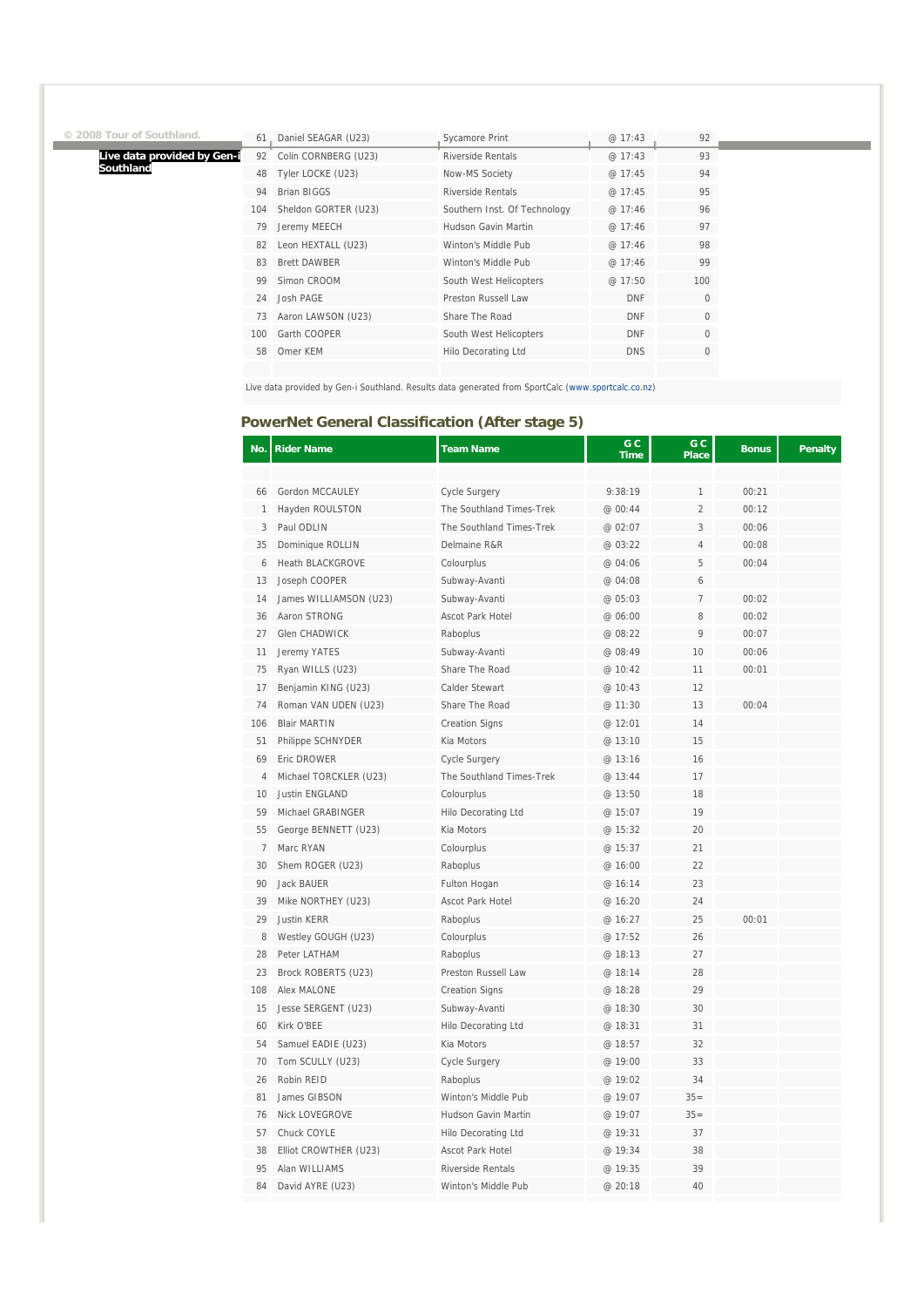# **© 2008 Tour of Southland.**

**Live data provided by Gen-i Southland**

| 61  | Daniel SEAGAR (U23)  | <b>Sycamore Print</b>        | @17:43     | 92  |
|-----|----------------------|------------------------------|------------|-----|
| 92  | Colin CORNBERG (U23) | <b>Riverside Rentals</b>     | @17:43     | 93  |
| 48  | Tyler LOCKE (U23)    | Now-MS Society               | @ 17:45    | 94  |
| 94  | <b>Brian BIGGS</b>   | <b>Riverside Rentals</b>     | @ 17:45    | 95  |
| 104 | Sheldon GORTER (U23) | Southern Inst. Of Technology | @17:46     | 96  |
| 79  | Jeremy MEECH         | Hudson Gavin Martin          | @ 17:46    | 97  |
| 82  | Leon HEXTALL (U23)   | Winton's Middle Pub          | @ 17:46    | 98  |
| 83  | <b>Brett DAWBER</b>  | Winton's Middle Pub          | @ 17:46    | 99  |
| 99  | Simon CROOM          | South West Helicopters       | @ 17:50    | 100 |
| 24  | Josh PAGE            | Preston Russell Law          | <b>DNF</b> | 0   |
| 73  | Aaron LAWSON (U23)   | Share The Road               | <b>DNF</b> | 0   |
| 100 | Garth COOPER         | South West Helicopters       | <b>DNF</b> | 0   |
| 58  | Omer KEM             | Hilo Decorating Ltd          | <b>DNS</b> | 0   |
|     |                      |                              |            |     |

Live data provided by Gen-i Southland. Results data generated from SportCalc (www.sportcalc.co.nz)

### **PowerNet General Classification (After stage 5)**

| No.          | <b>Rider Name</b>       | <b>Team Name</b>         | G C<br><b>Time</b> | G C<br><b>Place</b> | <b>Bonus</b> | Penalty |
|--------------|-------------------------|--------------------------|--------------------|---------------------|--------------|---------|
|              |                         |                          |                    |                     |              |         |
| 66           | Gordon MCCAULEY         | <b>Cycle Surgery</b>     | 9:38:19            | 1                   | 00:21        |         |
| $\mathbf{1}$ | Hayden ROULSTON         | The Southland Times-Trek | @ 00:44            | $\overline{2}$      | 00:12        |         |
| 3            | Paul ODLIN              | The Southland Times-Trek | @ 02:07            | 3                   | 00:06        |         |
| 35           | Dominique ROLLIN        | Delmaine R&R             | @ 03:22            | $\overline{4}$      | 00:08        |         |
| 6            | <b>Heath BLACKGROVE</b> | Colourplus               | @ 04:06            | 5                   | 00:04        |         |
| 13           | Joseph COOPER           | Subway-Avanti            | @ 04:08            | 6                   |              |         |
| 14           | James WILLIAMSON (U23)  | Subway-Avanti            | @ 05:03            | $\overline{7}$      | 00:02        |         |
| 36           | Aaron STRONG            | <b>Ascot Park Hotel</b>  | @ 06:00            | 8                   | 00:02        |         |
| 27           | Glen CHADWICK           | Raboplus                 | @ 08:22            | 9                   | 00:07        |         |
| 11           | Jeremy YATES            | Subway-Avanti            | @ 08:49            | 10                  | 00:06        |         |
| 75           | Ryan WILLS (U23)        | Share The Road           | @ 10:42            | 11                  | 00:01        |         |
| 17           | Benjamin KING (U23)     | Calder Stewart           | @ 10:43            | 12                  |              |         |
| 74           | Roman VAN UDEN (U23)    | Share The Road           | @ 11:30            | 13                  | 00:04        |         |
| 106          | <b>Blair MARTIN</b>     | <b>Creation Signs</b>    | @ 12:01            | 14                  |              |         |
| 51           | Philippe SCHNYDER       | Kia Motors               | @ 13:10            | 15                  |              |         |
| 69           | Eric DROWER             | <b>Cycle Surgery</b>     | @ 13:16            | 16                  |              |         |
| 4            | Michael TORCKLER (U23)  | The Southland Times-Trek | @ 13:44            | 17                  |              |         |
| 10           | Justin ENGLAND          | Colourplus               | @ 13:50            | 18                  |              |         |
| 59           | Michael GRABINGER       | Hilo Decorating Ltd      | @ 15:07            | 19                  |              |         |
| 55           | George BENNETT (U23)    | Kia Motors               | @ 15:32            | 20                  |              |         |
| 7            | Marc RYAN               | Colourplus               | @ 15:37            | 21                  |              |         |
| 30           | Shem ROGER (U23)        | Raboplus                 | @ 16:00            | 22                  |              |         |
| 90           | Jack BAUER              | Fulton Hogan             | @ 16:14            | 23                  |              |         |
| 39           | Mike NORTHEY (U23)      | Ascot Park Hotel         | @ 16:20            | 24                  |              |         |
| 29           | <b>Justin KERR</b>      | Raboplus                 | @ 16:27            | 25                  | 00:01        |         |
| 8            | Westley GOUGH (U23)     | Colourplus               | @ 17:52            | 26                  |              |         |
| 28           | Peter LATHAM            | Raboplus                 | @ 18:13            | 27                  |              |         |
| 23           | Brock ROBERTS (U23)     | Preston Russell Law      | @ 18:14            | 28                  |              |         |
| 108          | <b>Alex MALONE</b>      | <b>Creation Signs</b>    | @ 18:28            | 29                  |              |         |
| 15           | Jesse SERGENT (U23)     | Subway-Avanti            | @18:30             | 30                  |              |         |
| 60           | Kirk O'BEE              | Hilo Decorating Ltd      | @ 18:31            | 31                  |              |         |
| 54           | Samuel EADIE (U23)      | Kia Motors               | @ 18:57            | 32                  |              |         |
| 70           | Tom SCULLY (U23)        | Cycle Surgery            | @ 19:00            | 33                  |              |         |
| 26           | Robin REID              | Raboplus                 | @ 19:02            | 34                  |              |         |
| 81           | James GIBSON            | Winton's Middle Pub      | @ 19:07            | $35=$               |              |         |
| 76           | <b>Nick LOVEGROVE</b>   | Hudson Gavin Martin      | @ 19:07            | $35=$               |              |         |
| 57           | Chuck COYLE             | Hilo Decorating Ltd      | @ 19:31            | 37                  |              |         |
| 38           | Elliot CROWTHER (U23)   | Ascot Park Hotel         | @ 19:34            | 38                  |              |         |
| 95           | Alan WILLIAMS           | <b>Riverside Rentals</b> | @19:35             | 39                  |              |         |
| 84           | David AYRE (U23)        | Winton's Middle Pub      | @ 20:18            | 40                  |              |         |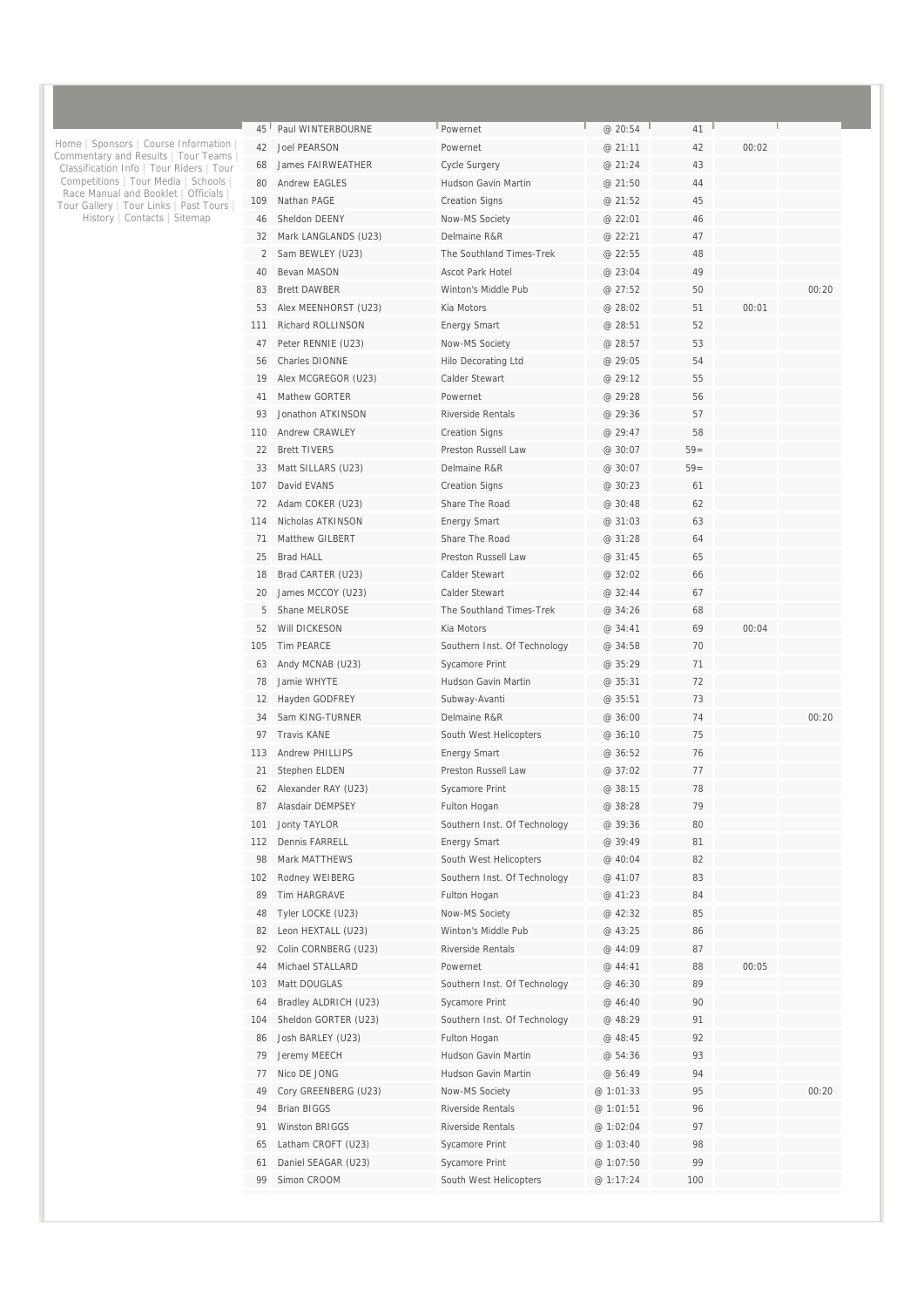| 45       | Paul WINTERBOURNE               | Powernet                       | @ 20:54            | 41       |       |       |
|----------|---------------------------------|--------------------------------|--------------------|----------|-------|-------|
| 42       | <b>Joel PEARSON</b>             | Powernet                       | @ 21:11            | 42       | 00:02 |       |
| 68       | <b>James FAIRWEATHER</b>        | Cycle Surgery                  | @ 21:24            | 43       |       |       |
| 80       | <b>Andrew EAGLES</b>            | Hudson Gavin Martin            | @21:50             | 44       |       |       |
| 109      | Nathan PAGE                     | <b>Creation Signs</b>          | @ 21:52            | 45       |       |       |
| 46       | Sheldon DEENY                   | Now-MS Society                 | @ 22:01            | 46       |       |       |
| 32       | Mark LANGLANDS (U23)            | Delmaine R&R                   | @ 22:21            | 47       |       |       |
| 2        | Sam BEWLEY (U23)                | The Southland Times-Trek       | @ 22:55            | 48       |       |       |
| 40       | Bevan MASON                     | <b>Ascot Park Hotel</b>        | @ 23:04            | 49       |       |       |
| 83       | <b>Brett DAWBER</b>             | Winton's Middle Pub            | @ 27:52            | 50       |       | 00:20 |
| 53       | Alex MEENHORST (U23)            | Kia Motors                     | @ 28:02            | 51       | 00:01 |       |
| 111      | <b>Richard ROLLINSON</b>        | <b>Energy Smart</b>            | @ 28:51            | 52       |       |       |
| 47       | Peter RENNIE (U23)              | Now-MS Society                 | @ 28:57            | 53       |       |       |
| 56       | <b>Charles DIONNE</b>           | Hilo Decorating Ltd            | @ 29:05            | 54       |       |       |
| 19       | Alex MCGREGOR (U23)             | Calder Stewart                 | @ 29:12            | 55       |       |       |
| 41       | Mathew GORTER                   | Powernet                       | @ 29:28            | 56       |       |       |
| 93       | Jonathon ATKINSON               | <b>Riverside Rentals</b>       | @ 29:36            | 57       |       |       |
| 110      | Andrew CRAWLEY                  | <b>Creation Signs</b>          | @ 29:47            | 58       |       |       |
| 22       | <b>Brett TIVERS</b>             | Preston Russell Law            | @ 30:07            | $59=$    |       |       |
| 33       | Matt SILLARS (U23)              | Delmaine R&R                   | @ 30:07            | $59=$    |       |       |
| 107      | David EVANS                     | <b>Creation Signs</b>          | @ 30:23            | 61       |       |       |
| 72       | Adam COKER (U23)                | Share The Road                 | @ 30:48            | 62       |       |       |
| 114      | Nicholas ATKINSON               | <b>Energy Smart</b>            | @ 31:03            | 63       |       |       |
| 71       | <b>Matthew GILBERT</b>          | Share The Road                 | @ 31:28            | 64       |       |       |
| 25       | <b>Brad HALL</b>                | Preston Russell Law            | @ 31:45            | 65       |       |       |
| 18       | Brad CARTER (U23)               | Calder Stewart                 | @ 32:02            | 66       |       |       |
| 20       | James MCCOY (U23)               | Calder Stewart                 | @ 32:44            | 67       |       |       |
| 5        | Shane MELROSE                   | The Southland Times-Trek       | @ 34:26            | 68       |       |       |
| 52       | Will DICKESON                   | Kia Motors                     | @ 34:41            | 69       | 00:04 |       |
| 105      | <b>Tim PEARCE</b>               | Southern Inst. Of Technology   | @ 34:58            | 70       |       |       |
| 63       | Andy MCNAB (U23)                | Sycamore Print                 | @ 35:29            | 71       |       |       |
| 78       | Jamie WHYTE                     | Hudson Gavin Martin            | @ 35:31            | 72       |       |       |
| 12       | Hayden GODFREY                  | Subway-Avanti                  | @ 35:51            | 73       |       |       |
| 34       | Sam KING-TURNER                 | Delmaine R&R                   | @36:00             | 74       |       | 00:20 |
| 97       | <b>Travis KANE</b>              | South West Helicopters         | @36:10             | 75       |       |       |
| 113      | <b>Andrew PHILLIPS</b>          | <b>Energy Smart</b>            | @ 36:52            | 76       |       |       |
| 21       | Stephen ELDEN                   | Preston Russell Law            | @ 37:02            | 77       |       |       |
| 62       | Alexander RAY (U23)             | Sycamore Print                 | @ 38:15            | 78       |       |       |
| 87       | Alasdair DEMPSEY                | Fulton Hogan                   | @ 38:28            | 79       |       |       |
| 101      | Jonty TAYLOR                    | Southern Inst. Of Technology   | @ 39:36            | 80       |       |       |
| 112      | Dennis FARRELL                  | <b>Energy Smart</b>            | @ 39:49            | 81       |       |       |
| 98       | Mark MATTHEWS<br>Rodney WEIBERG | South West Helicopters         | @ 40:04            | 82<br>83 |       |       |
| 102      | Tim HARGRAVE                    | Southern Inst. Of Technology   | @ 41:07            | 84       |       |       |
| 89<br>48 | Tyler LOCKE (U23)               | Fulton Hogan<br>Now-MS Society | @ 41:23<br>@ 42:32 | 85       |       |       |
| 82       | Leon HEXTALL (U23)              | Winton's Middle Pub            | @ 43:25            | 86       |       |       |
| 92       | Colin CORNBERG (U23)            | <b>Riverside Rentals</b>       | @ 44:09            | 87       |       |       |
| 44       | Michael STALLARD                | Powernet                       | @ 44:41            | 88       | 00:05 |       |
| 103      | Matt DOUGLAS                    | Southern Inst. Of Technology   | @ 46:30            | 89       |       |       |
| 64       | Bradley ALDRICH (U23)           | Sycamore Print                 | @ 46:40            | 90       |       |       |
| 104      | Sheldon GORTER (U23)            | Southern Inst. Of Technology   | @ 48:29            | 91       |       |       |
| 86       | Josh BARLEY (U23)               | Fulton Hogan                   | @ 48:45            | 92       |       |       |
| 79       | Jeremy MEECH                    | Hudson Gavin Martin            | @ 54:36            | 93       |       |       |
| 77       | Nico DE JONG                    | Hudson Gavin Martin            | @ 56:49            | 94       |       |       |
| 49       | Cory GREENBERG (U23)            | Now-MS Society                 | @ 1:01:33          | 95       |       | 00:20 |
| 94       | <b>Brian BIGGS</b>              | Riverside Rentals              | @ 1:01:51          | 96       |       |       |
| 91       | Winston BRIGGS                  | Riverside Rentals              | @ 1:02:04          | 97       |       |       |
| 65       | Latham CROFT (U23)              | Sycamore Print                 | @ 1:03:40          | 98       |       |       |
| 61       | Daniel SEAGAR (U23)             | Sycamore Print                 | @ 1:07:50          | 99       |       |       |
| 99       | Simon CROOM                     | South West Helicopters         | @ 1:17:24          | 100      |       |       |
|          |                                 |                                |                    |          |       |       |

Home | Sponsors | Course Information | Commentary and Results | Tour Teams | Classification Info | Tour Riders | Tour Competitions | Tour Media | Schools | Race Manual and Booklet | Officials | Tour Gallery | Tour Links | Past Tours | History | Contacts | Sitemap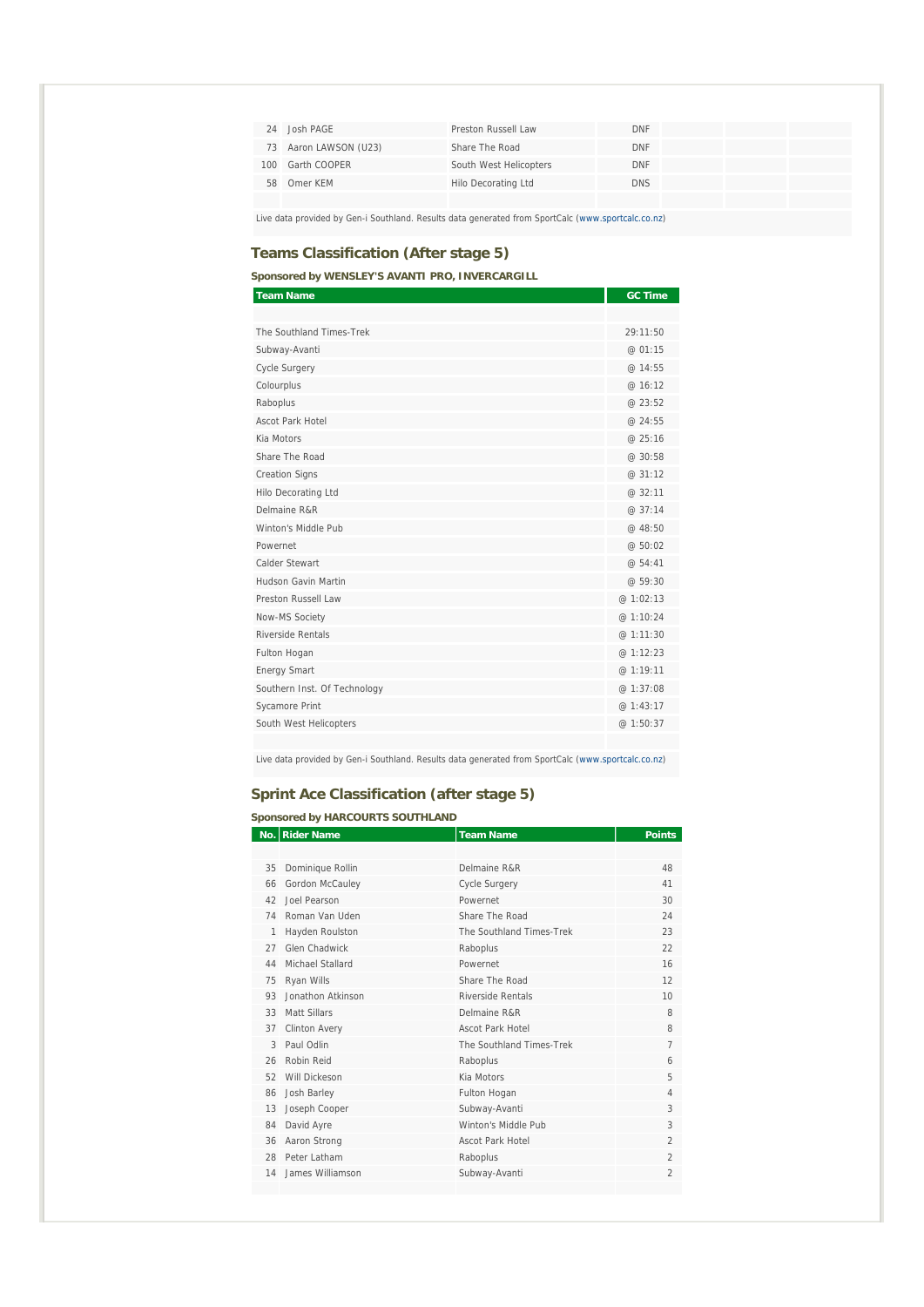| 24 | Josh PAGE             | Preston Russell Law    | <b>DNF</b> |  |
|----|-----------------------|------------------------|------------|--|
|    | 73 Aaron LAWSON (U23) | Share The Road         | <b>DNF</b> |  |
|    | 100 Garth COOPER      | South West Helicopters | <b>DNF</b> |  |
|    | 58 Omer KFM           | Hilo Decorating Ltd    | <b>DNS</b> |  |
|    |                       |                        |            |  |

Live data provided by Gen-i Southland. Results data generated from SportCalc (www.sportcalc.co.nz)

### **Teams Classification (After stage 5)**

**Sponsored by WENSLEY'S AVANTI PRO, INVERCARGILL** 

| <b>Team Name</b>             | <b>GC Time</b> |
|------------------------------|----------------|
|                              |                |
| The Southland Times-Trek     | 29:11:50       |
| Subway-Avanti                | @ 01:15        |
| <b>Cycle Surgery</b>         | @ 14:55        |
| Colourplus                   | @ 16:12        |
| Raboplus                     | @23:52         |
| <b>Ascot Park Hotel</b>      | @ 24:55        |
| Kia Motors                   | @ 25:16        |
| Share The Road               | @30:58         |
| <b>Creation Signs</b>        | @31:12         |
| Hilo Decorating Ltd          | @ 32:11        |
| Delmaine R&R                 | @ 37:14        |
| Winton's Middle Pub          | @ 48:50        |
| Powernet                     | @ 50:02        |
| Calder Stewart               | @ 54:41        |
| Hudson Gavin Martin          | @ 59:30        |
| Preston Russell Law          | @ 1:02:13      |
| Now-MS Society               | @ 1:10:24      |
| Riverside Rentals            | @ 1:11:30      |
| Fulton Hogan                 | @ 1:12:23      |
| <b>Energy Smart</b>          | @ 1:19:11      |
| Southern Inst. Of Technology | @ 1:37:08      |
| Sycamore Print               | @ 1:43:17      |
| South West Helicopters       | @ 1:50:37      |
|                              |                |

Live data provided by Gen-i Southland. Results data generated from SportCalc (www.sportcalc.co.nz)

### **Sprint Ace Classification (after stage 5)**

| <b>Sponsored by HARCOURTS SOUTHLAND</b> |                      |                          |                          |  |  |
|-----------------------------------------|----------------------|--------------------------|--------------------------|--|--|
|                                         | No. Rider Name       | <b>Team Name</b>         | <b>Points</b>            |  |  |
|                                         |                      |                          |                          |  |  |
| 35                                      | Dominique Rollin     | Delmaine R&R             | 48                       |  |  |
| 66                                      | Gordon McCauley      | <b>Cycle Surgery</b>     | 41                       |  |  |
| 42                                      | Joel Pearson         | Powernet                 | 30                       |  |  |
| 74                                      | Roman Van Uden       | Share The Road           | 24                       |  |  |
| $\mathbf{1}$                            | Hayden Roulston      | The Southland Times-Trek | 23                       |  |  |
| 27                                      | Glen Chadwick        | Raboplus                 | 22                       |  |  |
| 44                                      | Michael Stallard     | Powernet                 | 16                       |  |  |
| 75                                      | Ryan Wills           | Share The Road           | 12                       |  |  |
| 93                                      | Jonathon Atkinson    | Riverside Rentals        | 10                       |  |  |
| 33                                      | Matt Sillars         | Delmaine R&R             | 8                        |  |  |
| 37                                      | <b>Clinton Avery</b> | <b>Ascot Park Hotel</b>  | 8                        |  |  |
| 3                                       | Paul Odlin           | The Southland Times-Trek | $\overline{7}$           |  |  |
| 26                                      | Robin Reid           | Raboplus                 | 6                        |  |  |
| 52                                      | Will Dickeson        | Kia Motors               | 5                        |  |  |
| 86                                      | Josh Barley          | Fulton Hogan             | $\overline{4}$           |  |  |
| 13                                      | Joseph Cooper        | Subway-Avanti            | 3                        |  |  |
| 84                                      | David Ayre           | Winton's Middle Pub      | 3                        |  |  |
| 36                                      | Aaron Strong         | <b>Ascot Park Hotel</b>  | $\overline{\mathcal{L}}$ |  |  |
| 28                                      | Peter Latham         | Raboplus                 | $\overline{2}$           |  |  |
| 14                                      | James Williamson     | Subway-Avanti            | $\overline{2}$           |  |  |
|                                         |                      |                          |                          |  |  |